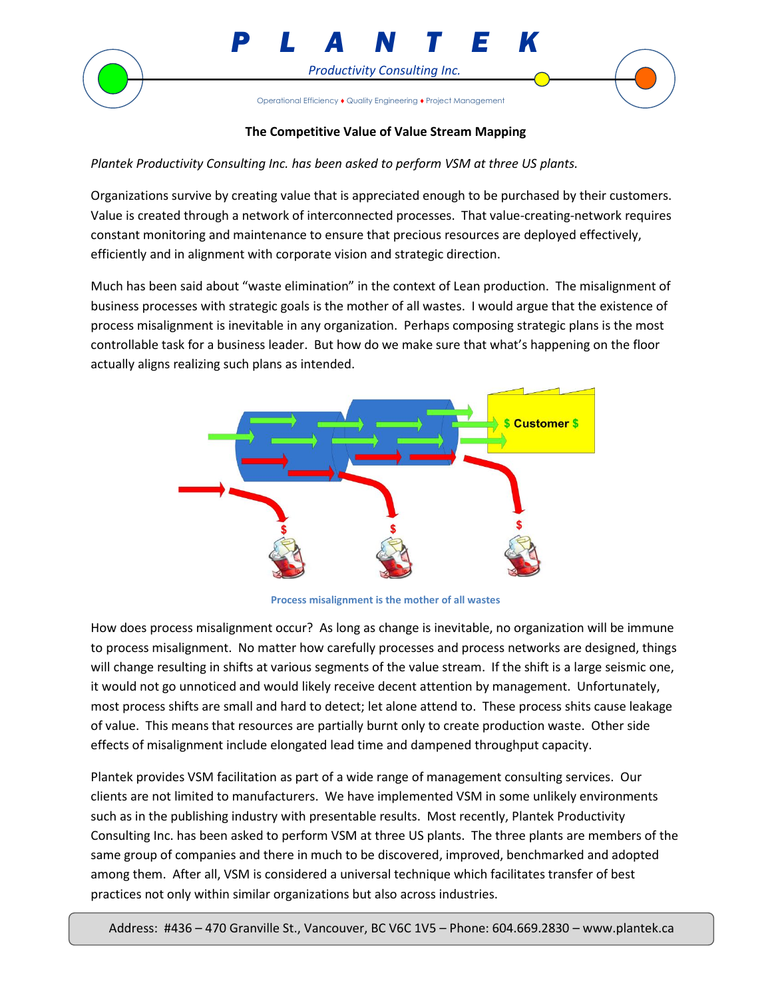



## **The Competitive Value of Value Stream Mapping**

*Plantek Productivity Consulting Inc. has been asked to perform VSM at three US plants.* 

Organizations survive by creating value that is appreciated enough to be purchased by their customers. Value is created through a network of interconnected processes. That value-creating-network requires constant monitoring and maintenance to ensure that precious resources are deployed effectively, efficiently and in alignment with corporate vision and strategic direction.

Much has been said about "waste elimination" in the context of Lean production. The misalignment of business processes with strategic goals is the mother of all wastes. I would argue that the existence of process misalignment is inevitable in any organization. Perhaps composing strategic plans is the most controllable task for a business leader. But how do we make sure that what's happening on the floor actually aligns realizing such plans as intended.



**Process misalignment is the mother of all wastes**

How does process misalignment occur? As long as change is inevitable, no organization will be immune to process misalignment. No matter how carefully processes and process networks are designed, things will change resulting in shifts at various segments of the value stream. If the shift is a large seismic one, it would not go unnoticed and would likely receive decent attention by management. Unfortunately, most process shifts are small and hard to detect; let alone attend to. These process shits cause leakage of value. This means that resources are partially burnt only to create production waste. Other side effects of misalignment include elongated lead time and dampened throughput capacity.

Plantek provides VSM facilitation as part of a wide range of management consulting services. Our clients are not limited to manufacturers. We have implemented VSM in some unlikely environments such as in the publishing industry with presentable results. Most recently, Plantek Productivity Consulting Inc. has been asked to perform VSM at three US plants. The three plants are members of the same group of companies and there in much to be discovered, improved, benchmarked and adopted among them. After all, VSM is considered a universal technique which facilitates transfer of best practices not only within similar organizations but also across industries.

Address: #436 – 470 Granville St., Vancouver, BC V6C 1V5 – Phone: 604.669.2830 – www.plantek.ca